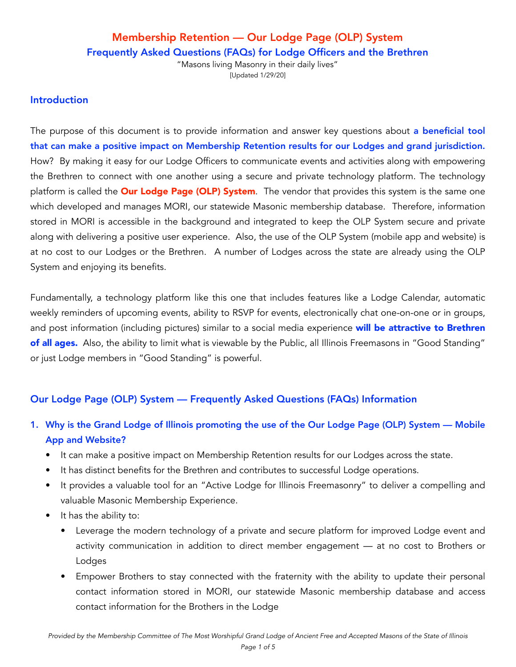"Masons living Masonry in their daily lives" [Updated 1/29/20]

#### Introduction

The purpose of this document is to provide information and answer key questions about a beneficial tool that can make a positive impact on Membership Retention results for our Lodges and grand jurisdiction. How? By making it easy for our Lodge Officers to communicate events and activities along with empowering the Brethren to connect with one another using a secure and private technology platform. The technology platform is called the **Our Lodge Page (OLP) System**. The vendor that provides this system is the same one which developed and manages MORI, our statewide Masonic membership database. Therefore, information stored in MORI is accessible in the background and integrated to keep the OLP System secure and private along with delivering a positive user experience. Also, the use of the OLP System (mobile app and website) is at no cost to our Lodges or the Brethren. A number of Lodges across the state are already using the OLP System and enjoying its benefits.

Fundamentally, a technology platform like this one that includes features like a Lodge Calendar, automatic weekly reminders of upcoming events, ability to RSVP for events, electronically chat one-on-one or in groups, and post information (including pictures) similar to a social media experience will be attractive to Brethren of all ages. Also, the ability to limit what is viewable by the Public, all Illinois Freemasons in "Good Standing" or just Lodge members in "Good Standing" is powerful.

## Our Lodge Page (OLP) System — Frequently Asked Questions (FAQs) Information

- 1. Why is the Grand Lodge of Illinois promoting the use of the Our Lodge Page (OLP) System Mobile App and Website?
	- It can make a positive impact on Membership Retention results for our Lodges across the state.
	- It has distinct benefits for the Brethren and contributes to successful Lodge operations.
	- It provides a valuable tool for an "Active Lodge for Illinois Freemasonry" to deliver a compelling and valuable Masonic Membership Experience.
	- It has the ability to:
		- Leverage the modern technology of a private and secure platform for improved Lodge event and activity communication in addition to direct member engagement — at no cost to Brothers or Lodges
		- Empower Brothers to stay connected with the fraternity with the ability to update their personal contact information stored in MORI, our statewide Masonic membership database and access contact information for the Brothers in the Lodge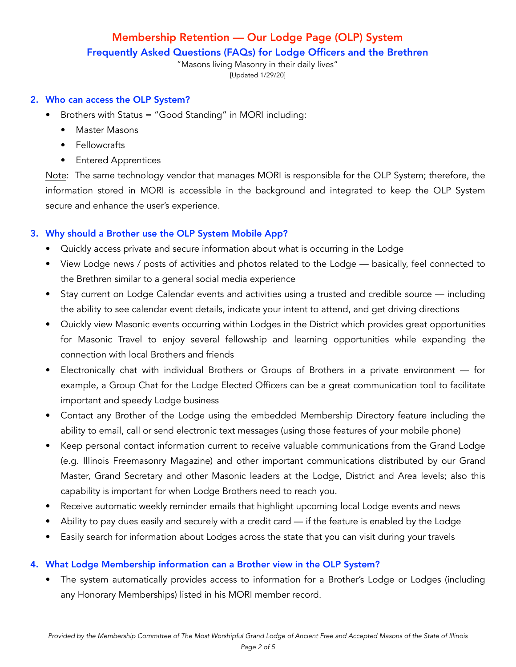"Masons living Masonry in their daily lives" [Updated 1/29/20]

#### 2. Who can access the OLP System?

- Brothers with Status = "Good Standing" in MORI including:
	- Master Masons
	- Fellowcrafts
	- Entered Apprentices

Note: The same technology vendor that manages MORI is responsible for the OLP System; therefore, the information stored in MORI is accessible in the background and integrated to keep the OLP System secure and enhance the user's experience.

## 3. Why should a Brother use the OLP System Mobile App?

- Quickly access private and secure information about what is occurring in the Lodge
- View Lodge news / posts of activities and photos related to the Lodge basically, feel connected to the Brethren similar to a general social media experience
- Stay current on Lodge Calendar events and activities using a trusted and credible source including the ability to see calendar event details, indicate your intent to attend, and get driving directions
- Quickly view Masonic events occurring within Lodges in the District which provides great opportunities for Masonic Travel to enjoy several fellowship and learning opportunities while expanding the connection with local Brothers and friends
- Electronically chat with individual Brothers or Groups of Brothers in a private environment for example, a Group Chat for the Lodge Elected Officers can be a great communication tool to facilitate important and speedy Lodge business
- Contact any Brother of the Lodge using the embedded Membership Directory feature including the ability to email, call or send electronic text messages (using those features of your mobile phone)
- Keep personal contact information current to receive valuable communications from the Grand Lodge (e.g. Illinois Freemasonry Magazine) and other important communications distributed by our Grand Master, Grand Secretary and other Masonic leaders at the Lodge, District and Area levels; also this capability is important for when Lodge Brothers need to reach you.
- Receive automatic weekly reminder emails that highlight upcoming local Lodge events and news
- Ability to pay dues easily and securely with a credit card if the feature is enabled by the Lodge
- Easily search for information about Lodges across the state that you can visit during your travels

## 4. What Lodge Membership information can a Brother view in the OLP System?

The system automatically provides access to information for a Brother's Lodge or Lodges (including any Honorary Memberships) listed in his MORI member record.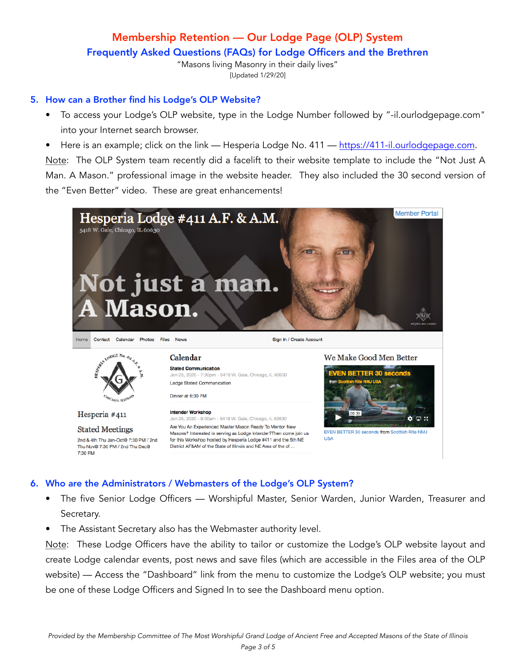"Masons living Masonry in their daily lives" [Updated 1/29/20]

#### 5. How can a Brother find his Lodge's OLP Website?

- To access your Lodge's OLP website, type in the Lodge Number followed by "-il.ourlodgepage.com" into your Internet search browser.
- Here is an example; click on the link Hesperia Lodge No. 411 [https://411-il.ourlodgepage.com.](https://411-il.ourlodgepage.com)

Note: The OLP System team recently did a facelift to their website template to include the "Not Just A Man. A Mason." professional image in the website header. They also included the 30 second version of the "Even Better" video. These are great enhancements!



#### 6. Who are the Administrators / Webmasters of the Lodge's OLP System?

- The five Senior Lodge Officers Worshipful Master, Senior Warden, Junior Warden, Treasurer and Secretary.
- The Assistant Secretary also has the Webmaster authority level.

Note: These Lodge Officers have the ability to tailor or customize the Lodge's OLP website layout and create Lodge calendar events, post news and save files (which are accessible in the Files area of the OLP website) — Access the "Dashboard" link from the menu to customize the Lodge's OLP website; you must be one of these Lodge Officers and Signed In to see the Dashboard menu option.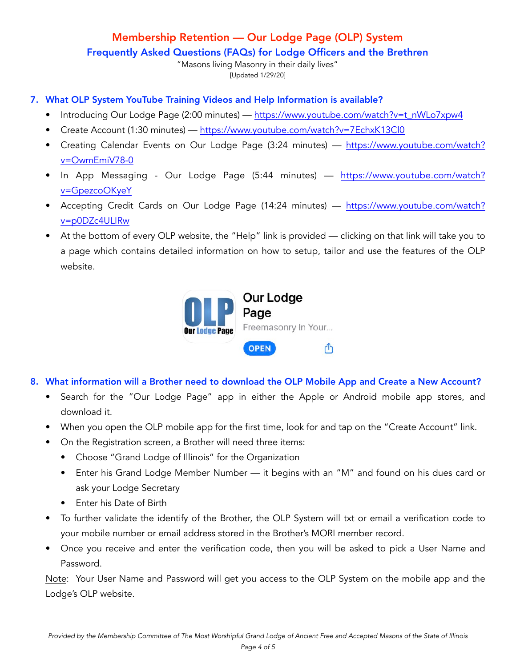# Membership Retention — Our Lodge Page (OLP) System

Frequently Asked Questions (FAQs) for Lodge Officers and the Brethren

"Masons living Masonry in their daily lives" [Updated 1/29/20]

- 7. What OLP System YouTube Training Videos and Help Information is available?
	- Introducing Our Lodge Page (2:00 minutes) [https://www.youtube.com/watch?v=t\\_nWLo7xpw4](https://www.youtube.com/watch?v=t_nWLo7xpw4)
	- Create Account (1:30 minutes) —<https://www.youtube.com/watch?v=7EchxK13Cl0>
	- Creating Calendar Events on Our Lodge Page (3:24 minutes) [https://www.youtube.com/watch?](https://www.youtube.com/watch?v=OwmEmiV78-0) [v=OwmEmiV78-0](https://www.youtube.com/watch?v=OwmEmiV78-0)
	- In App Messaging Our Lodge Page (5:44 minutes) [https://www.youtube.com/watch?](https://www.youtube.com/watch?v=GpezcoOKyeY) [v=GpezcoOKyeY](https://www.youtube.com/watch?v=GpezcoOKyeY)
	- Accepting Credit Cards on Our Lodge Page (14:24 minutes) [https://www.youtube.com/watch?](https://www.youtube.com/watch?v=p0DZc4ULIRw) [v=p0DZc4ULIRw](https://www.youtube.com/watch?v=p0DZc4ULIRw)
	- At the bottom of every OLP website, the "Help" link is provided clicking on that link will take you to a page which contains detailed information on how to setup, tailor and use the features of the OLP website.



## 8. What information will a Brother need to download the OLP Mobile App and Create a New Account?

- Search for the "Our Lodge Page" app in either the Apple or Android mobile app stores, and download it.
- When you open the OLP mobile app for the first time, look for and tap on the "Create Account" link.
- On the Registration screen, a Brother will need three items:
	- Choose "Grand Lodge of Illinois" for the Organization
	- Enter his Grand Lodge Member Number it begins with an "M" and found on his dues card or ask your Lodge Secretary
	- Enter his Date of Birth
- To further validate the identify of the Brother, the OLP System will txt or email a verification code to your mobile number or email address stored in the Brother's MORI member record.
- Once you receive and enter the verification code, then you will be asked to pick a User Name and Password.

Note: Your User Name and Password will get you access to the OLP System on the mobile app and the Lodge's OLP website.